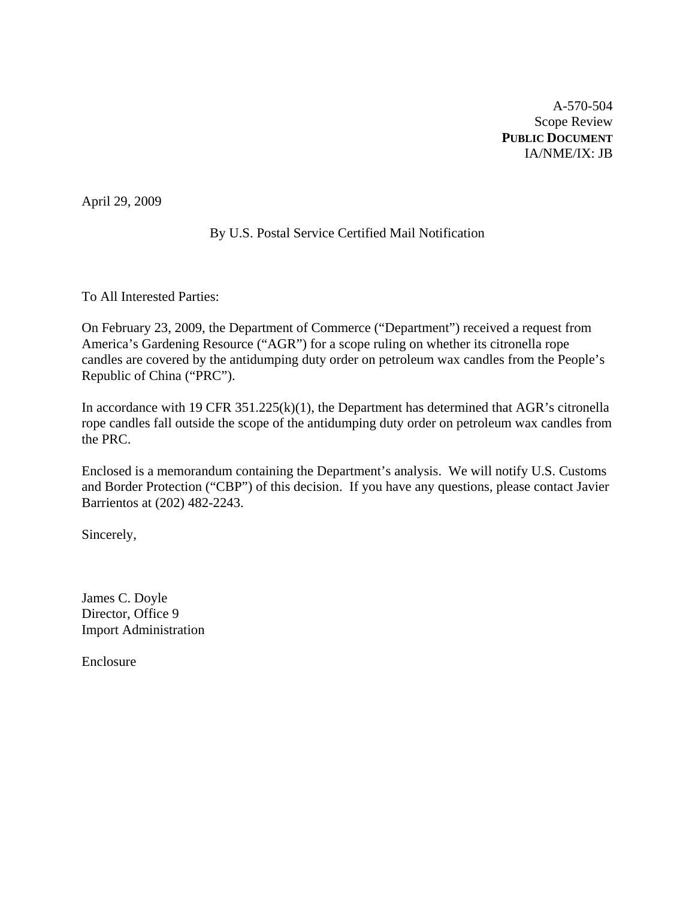A-570-504 Scope Review **PUBLIC DOCUMENT** IA/NME/IX: JB

April 29, 2009

## By U.S. Postal Service Certified Mail Notification

To All Interested Parties:

On February 23, 2009, the Department of Commerce ("Department") received a request from America's Gardening Resource ("AGR") for a scope ruling on whether its citronella rope candles are covered by the antidumping duty order on petroleum wax candles from the People's Republic of China ("PRC").

In accordance with 19 CFR 351.225(k)(1), the Department has determined that AGR's citronella rope candles fall outside the scope of the antidumping duty order on petroleum wax candles from the PRC.

Enclosed is a memorandum containing the Department's analysis. We will notify U.S. Customs and Border Protection ("CBP") of this decision. If you have any questions, please contact Javier Barrientos at (202) 482-2243.

Sincerely,

James C. Doyle Director, Office 9 Import Administration

Enclosure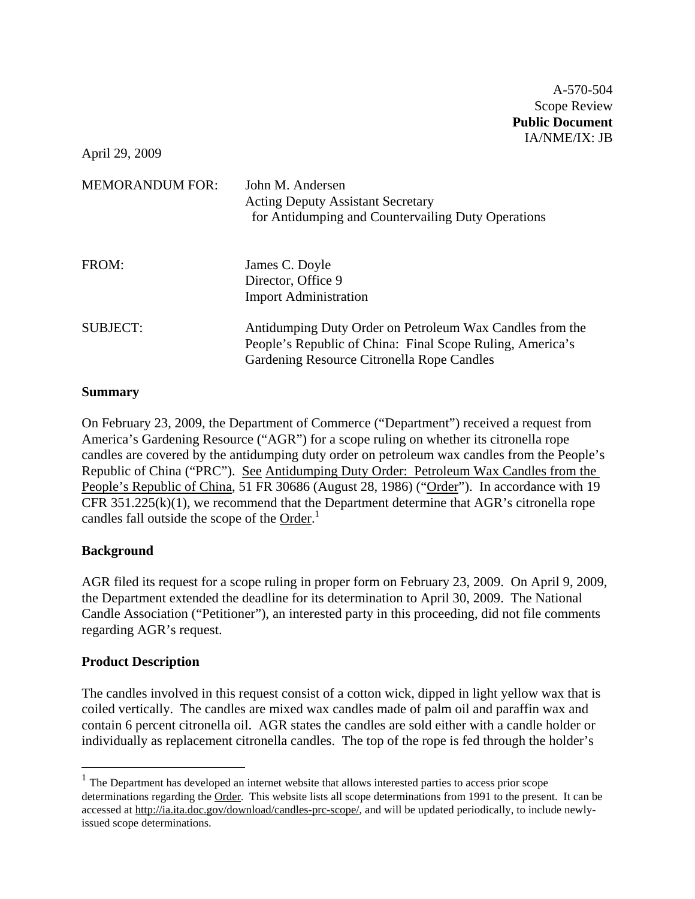April 29, 2009

| <b>MEMORANDUM FOR:</b> | John M. Andersen<br><b>Acting Deputy Assistant Secretary</b><br>for Antidumping and Countervailing Duty Operations                                                  |
|------------------------|---------------------------------------------------------------------------------------------------------------------------------------------------------------------|
| FROM:                  | James C. Doyle<br>Director, Office 9<br><b>Import Administration</b>                                                                                                |
| <b>SUBJECT:</b>        | Antidumping Duty Order on Petroleum Wax Candles from the<br>People's Republic of China: Final Scope Ruling, America's<br>Gardening Resource Citronella Rope Candles |

### **Summary**

On February 23, 2009, the Department of Commerce ("Department") received a request from America's Gardening Resource ("AGR") for a scope ruling on whether its citronella rope candles are covered by the antidumping duty order on petroleum wax candles from the People's Republic of China ("PRC"). See Antidumping Duty Order: Petroleum Wax Candles from the People's Republic of China, 51 FR 30686 (August 28, 1986) ("Order"). In accordance with 19 CFR  $351.225(k)(1)$ , we recommend that the Department determine that AGR's citronella rope candles fall outside the scope of the Order.<sup>1</sup>

### **Background**

 $\overline{a}$ 

AGR filed its request for a scope ruling in proper form on February 23, 2009. On April 9, 2009, the Department extended the deadline for its determination to April 30, 2009. The National Candle Association ("Petitioner"), an interested party in this proceeding, did not file comments regarding AGR's request.

### **Product Description**

The candles involved in this request consist of a cotton wick, dipped in light yellow wax that is coiled vertically. The candles are mixed wax candles made of palm oil and paraffin wax and contain 6 percent citronella oil. AGR states the candles are sold either with a candle holder or individually as replacement citronella candles. The top of the rope is fed through the holder's

<sup>&</sup>lt;sup>1</sup> The Department has developed an internet website that allows interested parties to access prior scope determinations regarding the Order. This website lists all scope determinations from 1991 to the present. It can be accessed at http://ia.ita.doc.gov/download/candles-prc-scope/, and will be updated periodically, to include newlyissued scope determinations.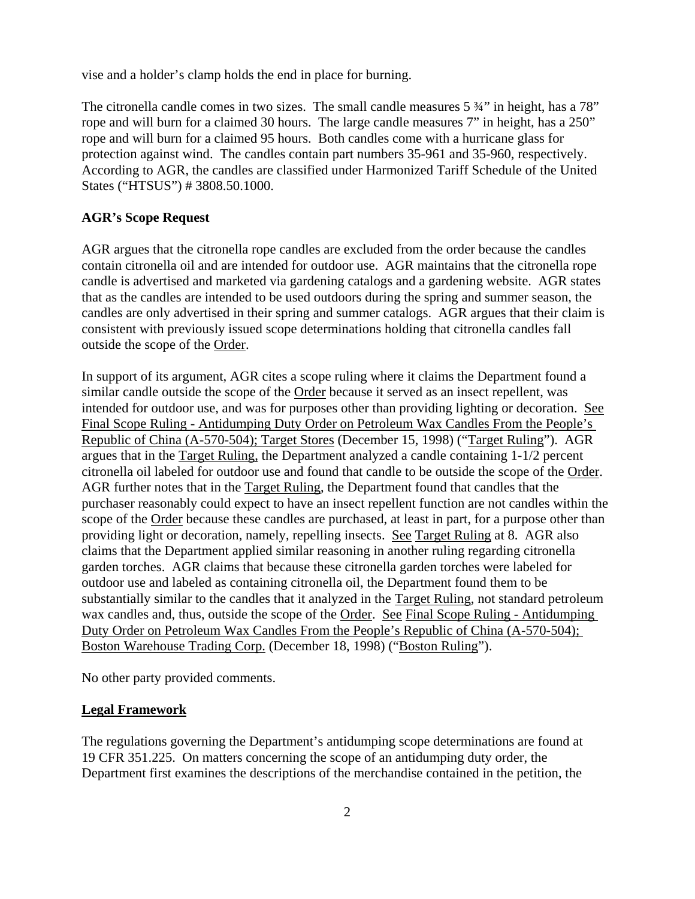vise and a holder's clamp holds the end in place for burning.

The citronella candle comes in two sizes. The small candle measures 5  $\frac{3}{4}$ " in height, has a 78" rope and will burn for a claimed 30 hours. The large candle measures 7" in height, has a 250" rope and will burn for a claimed 95 hours. Both candles come with a hurricane glass for protection against wind. The candles contain part numbers 35-961 and 35-960, respectively. According to AGR, the candles are classified under Harmonized Tariff Schedule of the United States ("HTSUS") # 3808.50.1000.

### **AGR's Scope Request**

AGR argues that the citronella rope candles are excluded from the order because the candles contain citronella oil and are intended for outdoor use. AGR maintains that the citronella rope candle is advertised and marketed via gardening catalogs and a gardening website. AGR states that as the candles are intended to be used outdoors during the spring and summer season, the candles are only advertised in their spring and summer catalogs. AGR argues that their claim is consistent with previously issued scope determinations holding that citronella candles fall outside the scope of the Order.

In support of its argument, AGR cites a scope ruling where it claims the Department found a similar candle outside the scope of the Order because it served as an insect repellent, was intended for outdoor use, and was for purposes other than providing lighting or decoration. See Final Scope Ruling - Antidumping Duty Order on Petroleum Wax Candles From the People's Republic of China (A-570-504); Target Stores (December 15, 1998) ("Target Ruling"). AGR argues that in the Target Ruling, the Department analyzed a candle containing 1-1/2 percent citronella oil labeled for outdoor use and found that candle to be outside the scope of the Order. AGR further notes that in the Target Ruling, the Department found that candles that the purchaser reasonably could expect to have an insect repellent function are not candles within the scope of the Order because these candles are purchased, at least in part, for a purpose other than providing light or decoration, namely, repelling insects. See Target Ruling at 8. AGR also claims that the Department applied similar reasoning in another ruling regarding citronella garden torches. AGR claims that because these citronella garden torches were labeled for outdoor use and labeled as containing citronella oil, the Department found them to be substantially similar to the candles that it analyzed in the Target Ruling, not standard petroleum wax candles and, thus, outside the scope of the Order. See Final Scope Ruling - Antidumping Duty Order on Petroleum Wax Candles From the People's Republic of China (A-570-504); Boston Warehouse Trading Corp. (December 18, 1998) ("Boston Ruling").

No other party provided comments.

#### **Legal Framework**

The regulations governing the Department's antidumping scope determinations are found at 19 CFR 351.225. On matters concerning the scope of an antidumping duty order, the Department first examines the descriptions of the merchandise contained in the petition, the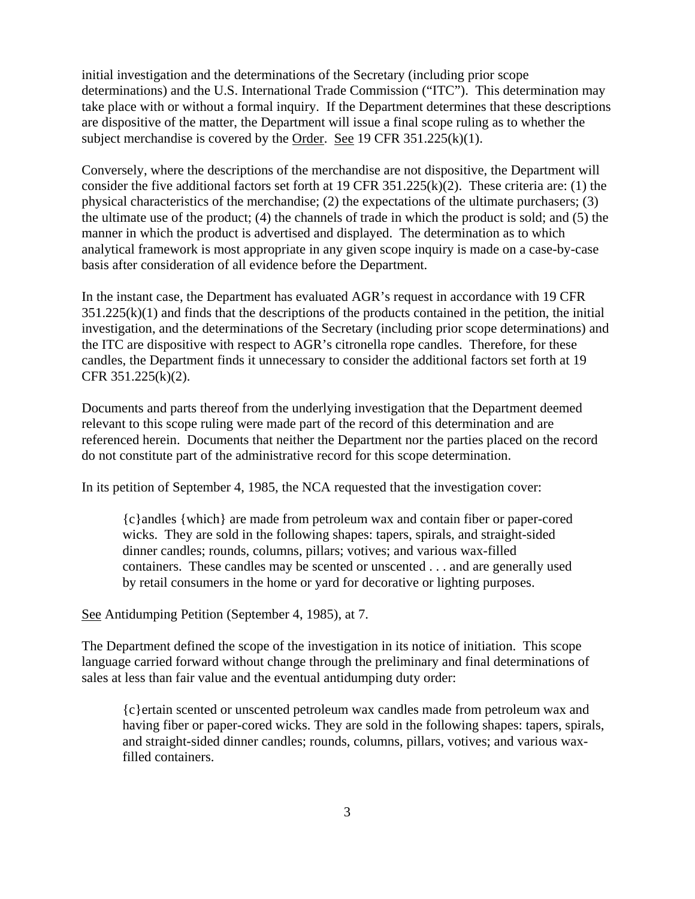initial investigation and the determinations of the Secretary (including prior scope determinations) and the U.S. International Trade Commission ("ITC"). This determination may take place with or without a formal inquiry. If the Department determines that these descriptions are dispositive of the matter, the Department will issue a final scope ruling as to whether the subject merchandise is covered by the Order. See 19 CFR 351.225(k)(1).

Conversely, where the descriptions of the merchandise are not dispositive, the Department will consider the five additional factors set forth at 19 CFR 351.225(k)(2). These criteria are: (1) the physical characteristics of the merchandise; (2) the expectations of the ultimate purchasers; (3) the ultimate use of the product; (4) the channels of trade in which the product is sold; and (5) the manner in which the product is advertised and displayed. The determination as to which analytical framework is most appropriate in any given scope inquiry is made on a case-by-case basis after consideration of all evidence before the Department.

In the instant case, the Department has evaluated AGR's request in accordance with 19 CFR  $351.225(k)(1)$  and finds that the descriptions of the products contained in the petition, the initial investigation, and the determinations of the Secretary (including prior scope determinations) and the ITC are dispositive with respect to AGR's citronella rope candles. Therefore, for these candles, the Department finds it unnecessary to consider the additional factors set forth at 19 CFR 351.225(k)(2).

Documents and parts thereof from the underlying investigation that the Department deemed relevant to this scope ruling were made part of the record of this determination and are referenced herein. Documents that neither the Department nor the parties placed on the record do not constitute part of the administrative record for this scope determination.

In its petition of September 4, 1985, the NCA requested that the investigation cover:

{c}andles {which} are made from petroleum wax and contain fiber or paper-cored wicks. They are sold in the following shapes: tapers, spirals, and straight-sided dinner candles; rounds, columns, pillars; votives; and various wax-filled containers. These candles may be scented or unscented . . . and are generally used by retail consumers in the home or yard for decorative or lighting purposes.

See Antidumping Petition (September 4, 1985), at 7.

The Department defined the scope of the investigation in its notice of initiation. This scope language carried forward without change through the preliminary and final determinations of sales at less than fair value and the eventual antidumping duty order:

{c}ertain scented or unscented petroleum wax candles made from petroleum wax and having fiber or paper-cored wicks. They are sold in the following shapes: tapers, spirals, and straight-sided dinner candles; rounds, columns, pillars, votives; and various waxfilled containers.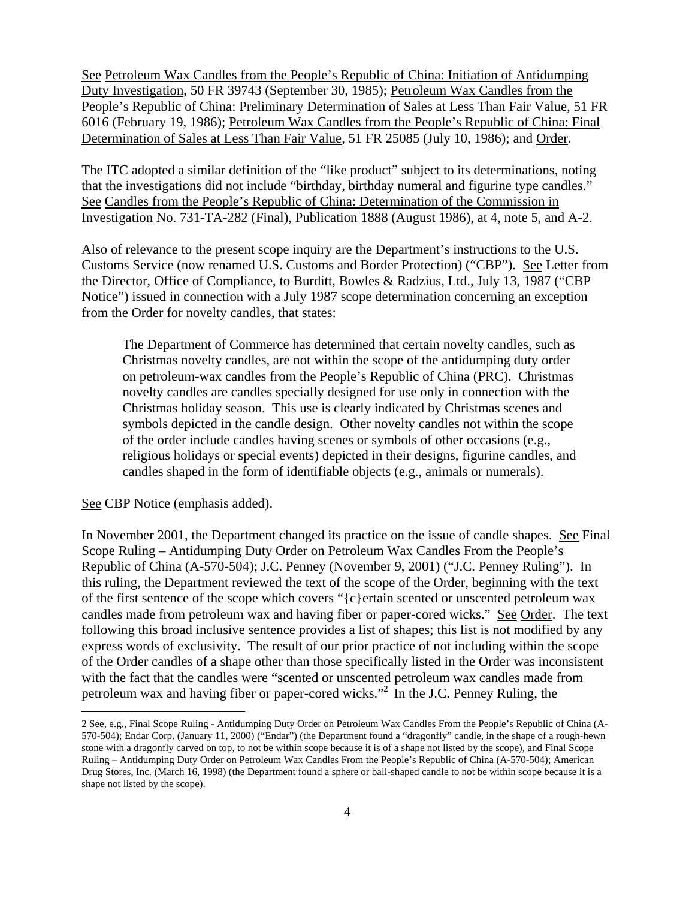See Petroleum Wax Candles from the People's Republic of China: Initiation of Antidumping Duty Investigation, 50 FR 39743 (September 30, 1985); Petroleum Wax Candles from the People's Republic of China: Preliminary Determination of Sales at Less Than Fair Value, 51 FR 6016 (February 19, 1986); Petroleum Wax Candles from the People's Republic of China: Final Determination of Sales at Less Than Fair Value, 51 FR 25085 (July 10, 1986); and Order.

The ITC adopted a similar definition of the "like product" subject to its determinations, noting that the investigations did not include "birthday, birthday numeral and figurine type candles." See Candles from the People's Republic of China: Determination of the Commission in Investigation No. 731-TA-282 (Final), Publication 1888 (August 1986), at 4, note 5, and A-2.

Also of relevance to the present scope inquiry are the Department's instructions to the U.S. Customs Service (now renamed U.S. Customs and Border Protection) ("CBP"). See Letter from the Director, Office of Compliance, to Burditt, Bowles & Radzius, Ltd., July 13, 1987 ("CBP Notice") issued in connection with a July 1987 scope determination concerning an exception from the Order for novelty candles, that states:

The Department of Commerce has determined that certain novelty candles, such as Christmas novelty candles, are not within the scope of the antidumping duty order on petroleum-wax candles from the People's Republic of China (PRC). Christmas novelty candles are candles specially designed for use only in connection with the Christmas holiday season. This use is clearly indicated by Christmas scenes and symbols depicted in the candle design. Other novelty candles not within the scope of the order include candles having scenes or symbols of other occasions (e.g., religious holidays or special events) depicted in their designs, figurine candles, and candles shaped in the form of identifiable objects (e.g., animals or numerals).

See CBP Notice (emphasis added).

 $\overline{a}$ 

In November 2001, the Department changed its practice on the issue of candle shapes. See Final Scope Ruling – Antidumping Duty Order on Petroleum Wax Candles From the People's Republic of China (A-570-504); J.C. Penney (November 9, 2001) ("J.C. Penney Ruling"). In this ruling, the Department reviewed the text of the scope of the Order, beginning with the text of the first sentence of the scope which covers "{c}ertain scented or unscented petroleum wax candles made from petroleum wax and having fiber or paper-cored wicks." See Order. The text following this broad inclusive sentence provides a list of shapes; this list is not modified by any express words of exclusivity. The result of our prior practice of not including within the scope of the Order candles of a shape other than those specifically listed in the Order was inconsistent with the fact that the candles were "scented or unscented petroleum wax candles made from petroleum wax and having fiber or paper-cored wicks."2 In the J.C. Penney Ruling, the

<sup>2</sup> See, e.g., Final Scope Ruling - Antidumping Duty Order on Petroleum Wax Candles From the People's Republic of China (A-570-504); Endar Corp. (January 11, 2000) ("Endar") (the Department found a "dragonfly" candle, in the shape of a rough-hewn stone with a dragonfly carved on top, to not be within scope because it is of a shape not listed by the scope), and Final Scope Ruling – Antidumping Duty Order on Petroleum Wax Candles From the People's Republic of China (A-570-504); American Drug Stores, Inc. (March 16, 1998) (the Department found a sphere or ball-shaped candle to not be within scope because it is a shape not listed by the scope).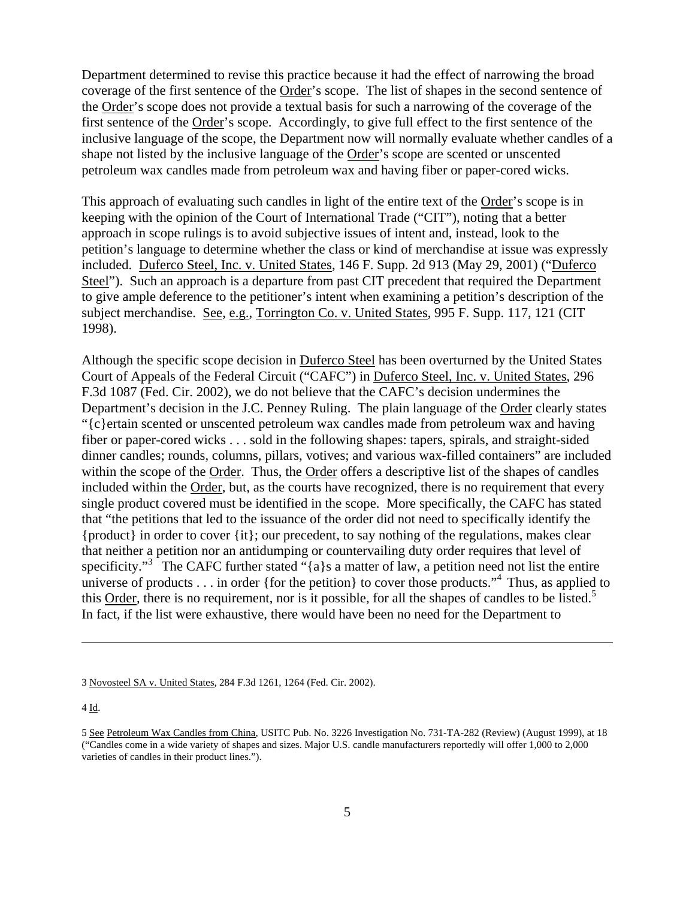Department determined to revise this practice because it had the effect of narrowing the broad coverage of the first sentence of the Order's scope. The list of shapes in the second sentence of the Order's scope does not provide a textual basis for such a narrowing of the coverage of the first sentence of the Order's scope. Accordingly, to give full effect to the first sentence of the inclusive language of the scope, the Department now will normally evaluate whether candles of a shape not listed by the inclusive language of the Order's scope are scented or unscented petroleum wax candles made from petroleum wax and having fiber or paper-cored wicks.

This approach of evaluating such candles in light of the entire text of the Order's scope is in keeping with the opinion of the Court of International Trade ("CIT"), noting that a better approach in scope rulings is to avoid subjective issues of intent and, instead, look to the petition's language to determine whether the class or kind of merchandise at issue was expressly included. Duferco Steel, Inc. v. United States, 146 F. Supp. 2d 913 (May 29, 2001) ("Duferco Steel"). Such an approach is a departure from past CIT precedent that required the Department to give ample deference to the petitioner's intent when examining a petition's description of the subject merchandise. See, e.g., Torrington Co. v. United States, 995 F. Supp. 117, 121 (CIT 1998).

Although the specific scope decision in Duferco Steel has been overturned by the United States Court of Appeals of the Federal Circuit ("CAFC") in Duferco Steel, Inc. v. United States, 296 F.3d 1087 (Fed. Cir. 2002), we do not believe that the CAFC's decision undermines the Department's decision in the J.C. Penney Ruling. The plain language of the Order clearly states "{c}ertain scented or unscented petroleum wax candles made from petroleum wax and having fiber or paper-cored wicks . . . sold in the following shapes: tapers, spirals, and straight-sided dinner candles; rounds, columns, pillars, votives; and various wax-filled containers" are included within the scope of the Order. Thus, the Order offers a descriptive list of the shapes of candles included within the Order, but, as the courts have recognized, there is no requirement that every single product covered must be identified in the scope. More specifically, the CAFC has stated that "the petitions that led to the issuance of the order did not need to specifically identify the {product} in order to cover {it}; our precedent, to say nothing of the regulations, makes clear that neither a petition nor an antidumping or countervailing duty order requires that level of specificity."<sup>3</sup> The CAFC further stated "{a}s a matter of law, a petition need not list the entire universe of products  $\ldots$  in order {for the petition} to cover those products."<sup>4</sup> Thus, as applied to this Order, there is no requirement, nor is it possible, for all the shapes of candles to be listed.<sup>5</sup> In fact, if the list were exhaustive, there would have been no need for the Department to

<u>.</u>

<sup>3</sup> Novosteel SA v. United States, 284 F.3d 1261, 1264 (Fed. Cir. 2002).

<sup>4</sup> Id.

<sup>5</sup> See Petroleum Wax Candles from China, USITC Pub. No. 3226 Investigation No. 731-TA-282 (Review) (August 1999), at 18 ("Candles come in a wide variety of shapes and sizes. Major U.S. candle manufacturers reportedly will offer 1,000 to 2,000 varieties of candles in their product lines.").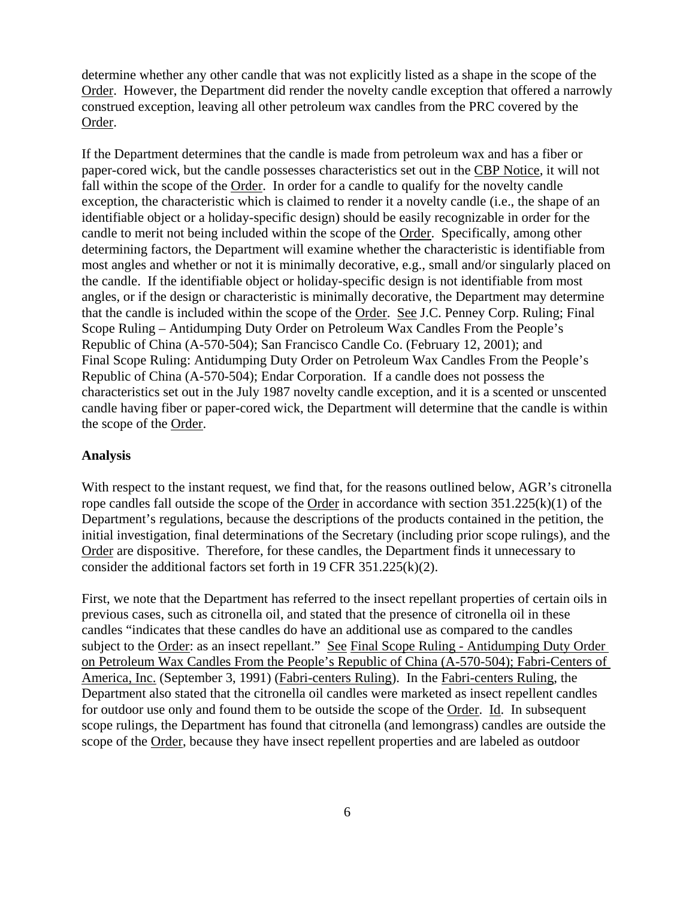determine whether any other candle that was not explicitly listed as a shape in the scope of the Order. However, the Department did render the novelty candle exception that offered a narrowly construed exception, leaving all other petroleum wax candles from the PRC covered by the Order.

If the Department determines that the candle is made from petroleum wax and has a fiber or paper-cored wick, but the candle possesses characteristics set out in the CBP Notice, it will not fall within the scope of the Order. In order for a candle to qualify for the novelty candle exception, the characteristic which is claimed to render it a novelty candle (i.e., the shape of an identifiable object or a holiday-specific design) should be easily recognizable in order for the candle to merit not being included within the scope of the Order. Specifically, among other determining factors, the Department will examine whether the characteristic is identifiable from most angles and whether or not it is minimally decorative, e.g., small and/or singularly placed on the candle. If the identifiable object or holiday-specific design is not identifiable from most angles, or if the design or characteristic is minimally decorative, the Department may determine that the candle is included within the scope of the Order. See J.C. Penney Corp. Ruling; Final Scope Ruling – Antidumping Duty Order on Petroleum Wax Candles From the People's Republic of China (A-570-504); San Francisco Candle Co. (February 12, 2001); and Final Scope Ruling: Antidumping Duty Order on Petroleum Wax Candles From the People's Republic of China (A-570-504); Endar Corporation. If a candle does not possess the characteristics set out in the July 1987 novelty candle exception, and it is a scented or unscented candle having fiber or paper-cored wick, the Department will determine that the candle is within the scope of the Order.

#### **Analysis**

With respect to the instant request, we find that, for the reasons outlined below, AGR's citronella rope candles fall outside the scope of the Order in accordance with section  $351.225(k)(1)$  of the Department's regulations, because the descriptions of the products contained in the petition, the initial investigation, final determinations of the Secretary (including prior scope rulings), and the Order are dispositive. Therefore, for these candles, the Department finds it unnecessary to consider the additional factors set forth in 19 CFR 351.225(k)(2).

First, we note that the Department has referred to the insect repellant properties of certain oils in previous cases, such as citronella oil, and stated that the presence of citronella oil in these candles "indicates that these candles do have an additional use as compared to the candles subject to the Order: as an insect repellant." See Final Scope Ruling - Antidumping Duty Order on Petroleum Wax Candles From the People's Republic of China (A-570-504); Fabri-Centers of America, Inc. (September 3, 1991) (Fabri-centers Ruling). In the Fabri-centers Ruling, the Department also stated that the citronella oil candles were marketed as insect repellent candles for outdoor use only and found them to be outside the scope of the Order. Id. In subsequent scope rulings, the Department has found that citronella (and lemongrass) candles are outside the scope of the Order, because they have insect repellent properties and are labeled as outdoor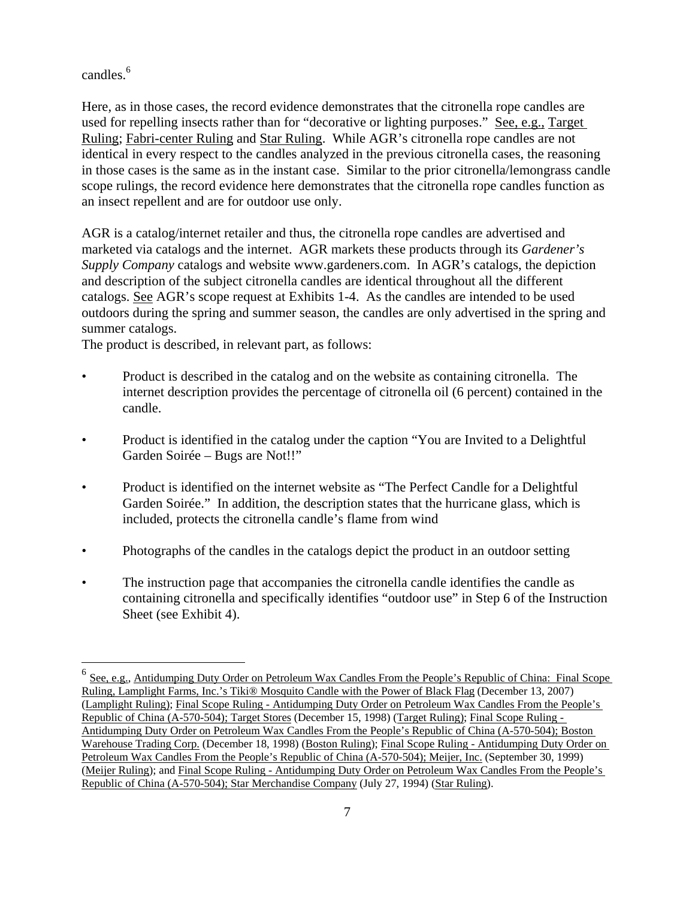candles.<sup>6</sup>

<u>.</u>

Here, as in those cases, the record evidence demonstrates that the citronella rope candles are used for repelling insects rather than for "decorative or lighting purposes." See, e.g., Target Ruling; Fabri-center Ruling and Star Ruling. While AGR's citronella rope candles are not identical in every respect to the candles analyzed in the previous citronella cases, the reasoning in those cases is the same as in the instant case. Similar to the prior citronella/lemongrass candle scope rulings, the record evidence here demonstrates that the citronella rope candles function as an insect repellent and are for outdoor use only.

AGR is a catalog/internet retailer and thus, the citronella rope candles are advertised and marketed via catalogs and the internet. AGR markets these products through its *Gardener's Supply Company* catalogs and website www.gardeners.com. In AGR's catalogs, the depiction and description of the subject citronella candles are identical throughout all the different catalogs. See AGR's scope request at Exhibits 1-4. As the candles are intended to be used outdoors during the spring and summer season, the candles are only advertised in the spring and summer catalogs.

The product is described, in relevant part, as follows:

- Product is described in the catalog and on the website as containing citronella. The internet description provides the percentage of citronella oil (6 percent) contained in the candle.
- Product is identified in the catalog under the caption "You are Invited to a Delightful" Garden Soirée – Bugs are Not!!"
- Product is identified on the internet website as "The Perfect Candle for a Delightful" Garden Soirée." In addition, the description states that the hurricane glass, which is included, protects the citronella candle's flame from wind
- Photographs of the candles in the catalogs depict the product in an outdoor setting
- The instruction page that accompanies the citronella candle identifies the candle as containing citronella and specifically identifies "outdoor use" in Step 6 of the Instruction Sheet (see Exhibit 4).

See, e.g., Antidumping Duty Order on Petroleum Wax Candles From the People's Republic of China: Final Scope Ruling, Lamplight Farms, Inc.'s Tiki® Mosquito Candle with the Power of Black Flag (December 13, 2007) (Lamplight Ruling); Final Scope Ruling - Antidumping Duty Order on Petroleum Wax Candles From the People's Republic of China (A-570-504); Target Stores (December 15, 1998) (Target Ruling); Final Scope Ruling - Antidumping Duty Order on Petroleum Wax Candles From the People's Republic of China (A-570-504); Boston Warehouse Trading Corp. (December 18, 1998) (Boston Ruling); Final Scope Ruling - Antidumping Duty Order on Petroleum Wax Candles From the People's Republic of China (A-570-504); Meijer, Inc. (September 30, 1999) (Meijer Ruling); and Final Scope Ruling - Antidumping Duty Order on Petroleum Wax Candles From the People's Republic of China (A-570-504); Star Merchandise Company (July 27, 1994) (Star Ruling).